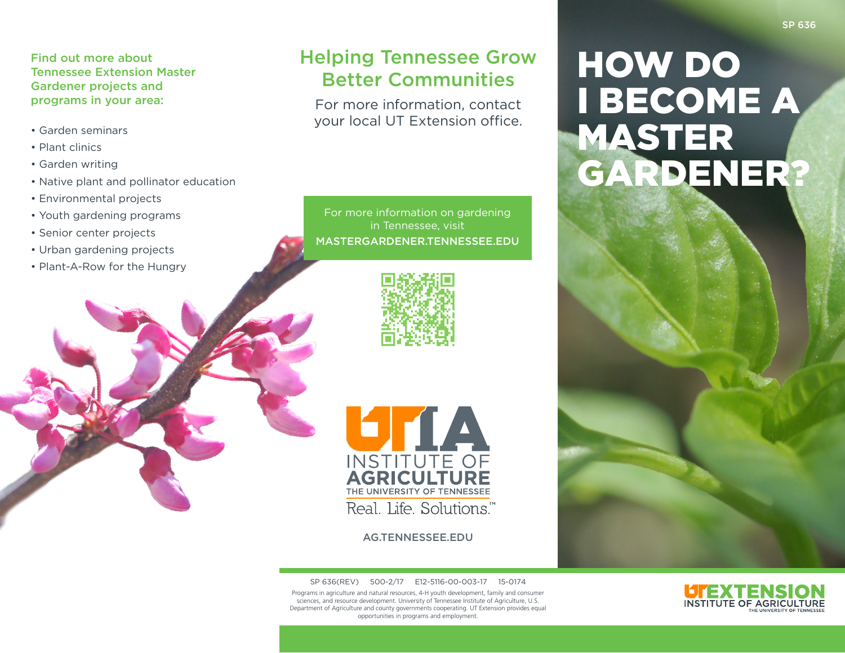### Find out more about Tennessee Extension Master Gardener projects and programs in your area:

- Garden seminars
- Plant clinics
- Garden writing
- Native plant and pollinator education
- Environmental projects
- Youth gardening programs
- Senior center projects
- Urban gardening projects
- Plant-A-Row for the Hungry

# Helping Tennessee Grow Better Communities

For more information, contact your local UT Extension office.

For more information on gardening in Tennessee, visit MASTERGARDENER.TENNESSEE.EDU





AG.TENNESSEE.EDU

SP 636(REV) 500-2/17 E12-5116-00-003-17 15-0174 Programs in agriculture and natural resources, 4-H youth development, family and consumer sciences, and resource development. University of Tennessee Institute of Agriculture, U.S. Department of Agriculture and county governments cooperating. UT Extension provides equal opportunities in programs and employment.

# HOW DO I BECOME A MASTER GARDENER?